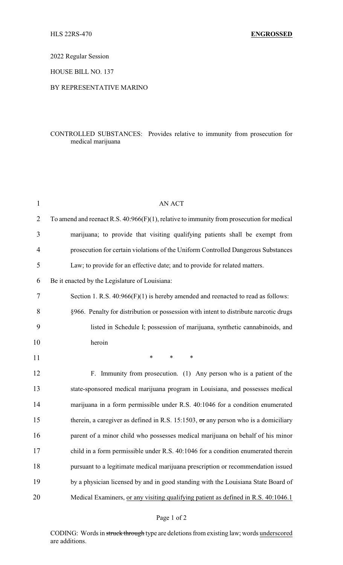2022 Regular Session

HOUSE BILL NO. 137

## BY REPRESENTATIVE MARINO

## CONTROLLED SUBSTANCES: Provides relative to immunity from prosecution for medical marijuana

| $\mathbf{1}$   | <b>AN ACT</b>                                                                                |
|----------------|----------------------------------------------------------------------------------------------|
| $\overline{2}$ | To amend and reenact R.S. $40:966(F)(1)$ , relative to immunity from prosecution for medical |
| 3              | marijuana; to provide that visiting qualifying patients shall be exempt from                 |
| 4              | prosecution for certain violations of the Uniform Controlled Dangerous Substances            |
| 5              | Law; to provide for an effective date; and to provide for related matters.                   |
| 6              | Be it enacted by the Legislature of Louisiana:                                               |
| 7              | Section 1. R.S. $40:966(F)(1)$ is hereby amended and reenacted to read as follows:           |
| 8              | §966. Penalty for distribution or possession with intent to distribute narcotic drugs        |
| 9              | listed in Schedule I; possession of marijuana, synthetic cannabinoids, and                   |
| 10             | heroin                                                                                       |
| 11             | $\ast$<br>$\ast$<br>*                                                                        |
| 12             | F. Immunity from prosecution. (1) Any person who is a patient of the                         |
| 13             | state-sponsored medical marijuana program in Louisiana, and possesses medical                |
| 14             | marijuana in a form permissible under R.S. 40:1046 for a condition enumerated                |
| 15             | therein, a caregiver as defined in R.S. 15:1503, $\sigma$ r any person who is a domiciliary  |
|                |                                                                                              |
| 16             | parent of a minor child who possesses medical marijuana on behalf of his minor               |
| 17             | child in a form permissible under R.S. 40:1046 for a condition enumerated therein            |
| 18             | pursuant to a legitimate medical marijuana prescription or recommendation issued             |
| 19             | by a physician licensed by and in good standing with the Louisiana State Board of            |

## Page 1 of 2

CODING: Words in struck through type are deletions from existing law; words underscored are additions.